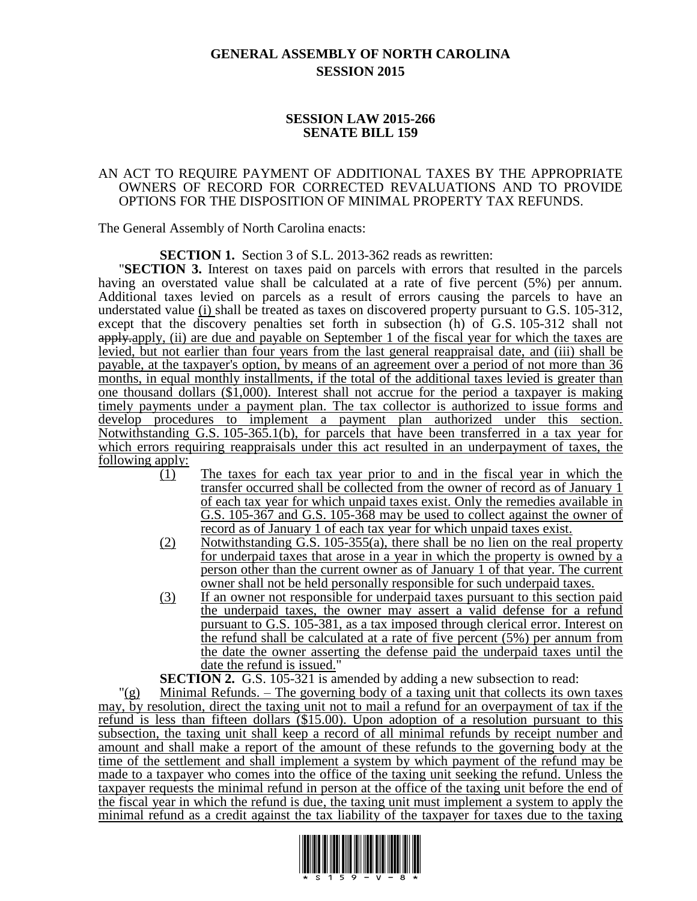## **GENERAL ASSEMBLY OF NORTH CAROLINA SESSION 2015**

## **SESSION LAW 2015-266 SENATE BILL 159**

## AN ACT TO REQUIRE PAYMENT OF ADDITIONAL TAXES BY THE APPROPRIATE OWNERS OF RECORD FOR CORRECTED REVALUATIONS AND TO PROVIDE OPTIONS FOR THE DISPOSITION OF MINIMAL PROPERTY TAX REFUNDS.

The General Assembly of North Carolina enacts:

**SECTION 1.** Section 3 of S.L. 2013-362 reads as rewritten:

"**SECTION 3.** Interest on taxes paid on parcels with errors that resulted in the parcels having an overstated value shall be calculated at a rate of five percent (5%) per annum. Additional taxes levied on parcels as a result of errors causing the parcels to have an understated value (i) shall be treated as taxes on discovered property pursuant to G.S. 105-312, except that the discovery penalties set forth in subsection (h) of G.S. 105-312 shall not apply. (ii) are due and payable on September 1 of the fiscal year for which the taxes are levied, but not earlier than four years from the last general reappraisal date, and (iii) shall be payable, at the taxpayer's option, by means of an agreement over a period of not more than 36 months, in equal monthly installments, if the total of the additional taxes levied is greater than one thousand dollars (\$1,000). Interest shall not accrue for the period a taxpayer is making timely payments under a payment plan. The tax collector is authorized to issue forms and develop procedures to implement a payment plan authorized under this section. Notwithstanding G.S. 105-365.1(b), for parcels that have been transferred in a tax year for which errors requiring reappraisals under this act resulted in an underpayment of taxes, the following apply:

- (1) The taxes for each tax year prior to and in the fiscal year in which the transfer occurred shall be collected from the owner of record as of January 1 of each tax year for which unpaid taxes exist. Only the remedies available in G.S. 105-367 and G.S. 105-368 may be used to collect against the owner of record as of January 1 of each tax year for which unpaid taxes exist.
- (2) Notwithstanding G.S. 105-355(a), there shall be no lien on the real property for underpaid taxes that arose in a year in which the property is owned by a person other than the current owner as of January 1 of that year. The current owner shall not be held personally responsible for such underpaid taxes.
- (3) If an owner not responsible for underpaid taxes pursuant to this section paid the underpaid taxes, the owner may assert a valid defense for a refund pursuant to G.S. 105-381, as a tax imposed through clerical error. Interest on the refund shall be calculated at a rate of five percent (5%) per annum from the date the owner asserting the defense paid the underpaid taxes until the date the refund is issued."

**SECTION 2.** G.S. 105-321 is amended by adding a new subsection to read:

 $\Gamma(g)$  Minimal Refunds. – The governing body of a taxing unit that collects its own taxes may, by resolution, direct the taxing unit not to mail a refund for an overpayment of tax if the refund is less than fifteen dollars (\$15.00). Upon adoption of a resolution pursuant to this subsection, the taxing unit shall keep a record of all minimal refunds by receipt number and amount and shall make a report of the amount of these refunds to the governing body at the time of the settlement and shall implement a system by which payment of the refund may be made to a taxpayer who comes into the office of the taxing unit seeking the refund. Unless the taxpayer requests the minimal refund in person at the office of the taxing unit before the end of the fiscal year in which the refund is due, the taxing unit must implement a system to apply the minimal refund as a credit against the tax liability of the taxpayer for taxes due to the taxing